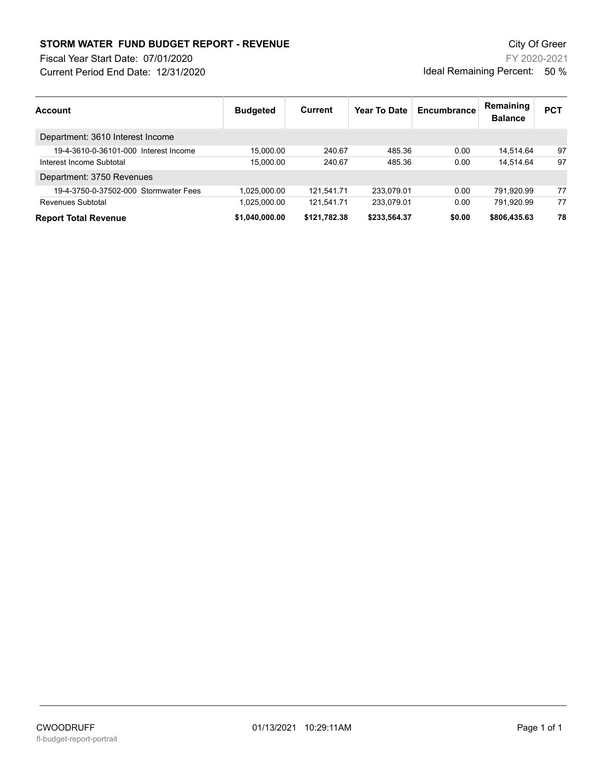## **STORM WATER FUND BUDGET REPORT - REVENUE City Of Greer** City Of Greer

Fiscal Year Start Date: 07/01/2020

Current Period End Date: 12/31/2020

FY 2020-2021 Ideal Remaining Percent: 50 %

| Account                               | <b>Budgeted</b> | Current      | Year To Date | Encumbrance | Remaining<br><b>Balance</b> | <b>PCT</b> |
|---------------------------------------|-----------------|--------------|--------------|-------------|-----------------------------|------------|
| Department: 3610 Interest Income      |                 |              |              |             |                             |            |
| 19-4-3610-0-36101-000 Interest Income | 15.000.00       | 240.67       | 485.36       | 0.00        | 14.514.64                   | 97         |
| Interest Income Subtotal              | 15.000.00       | 240.67       | 485.36       | 0.00        | 14.514.64                   | 97         |
| Department: 3750 Revenues             |                 |              |              |             |                             |            |
| 19-4-3750-0-37502-000 Stormwater Fees | 1.025.000.00    | 121,541.71   | 233.079.01   | 0.00        | 791.920.99                  | 77         |
| Revenues Subtotal                     | 1.025.000.00    | 121.541.71   | 233.079.01   | 0.00        | 791.920.99                  | 77         |
| <b>Report Total Revenue</b>           | \$1.040.000.00  | \$121,782.38 | \$233,564.37 | \$0.00      | \$806,435.63                | 78         |